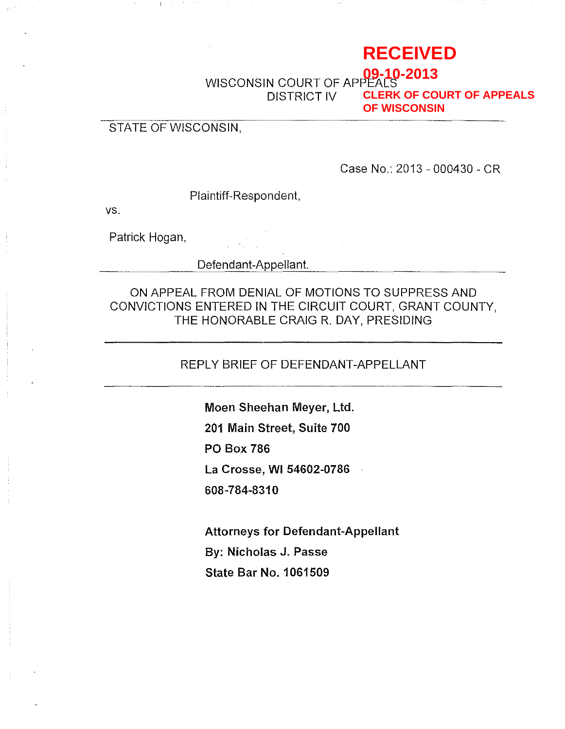# **RECEIVED**

WISCONSIN COURT OF APPE DISTRICT IV **09-10-2013 CLERK OF COURT OF APPEALS OF WISCONSIN**

## STATE OF WISCONSIN,

Case No.: 2013 - 000430 - CR

Plaintiff-Respondent,

vs.

Patrick Hogan,

Defendant-Appellant.

ON APPEAL FROM DENIAL OF MOTIONS TO SUPPRESS AND CONVICTIONS ENTERED **IN** THE CIRCUIT COURT, GRANT COUNTY, THE HONORABLE CRAIG R. DAY, PRESIDING

REPLY BRIEF OF DEFENDANT-APPELLANT

**Moen Sheehan Meyer, Ltd. 201 Main Street, Suite 700 PO Box 786 La Crosse, WI 54602-0786 608-784-8310** 

**Attorneys for Defendant-Appellant By: Nicholas J. Passe State Bar No.1 061509**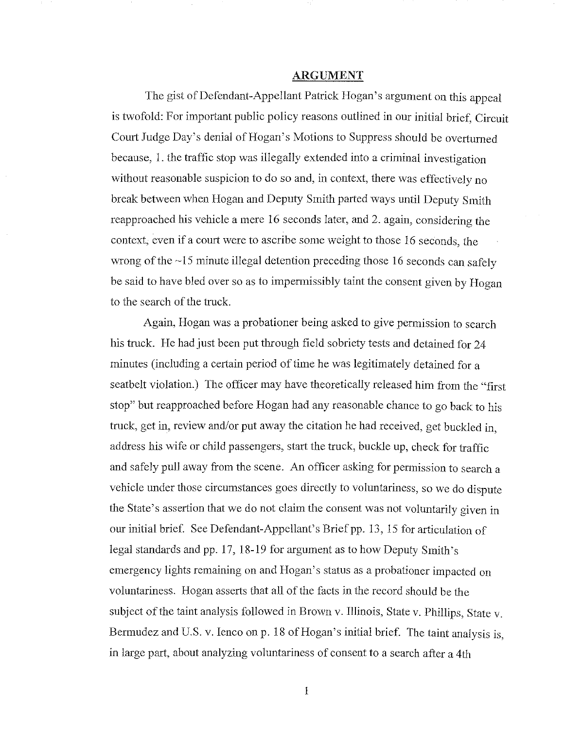#### ARGUMENT

The gist of Defendant-Appellant Patrick Hogan's argument on this appeal is twofold: For important public policy reasons outlined in our initial brief, Circuit Court Judge Day's denial of Hogan's Motions to Suppress should be overturned because, I. the traffic stop was illegally extended into a criminal investigation without reasonable suspicion to do so and, in context, there was effectively no break between when Hogan and Deputy Smith parted ways until Deputy Smith reapproached his vehicle a mere 16 seconds later, and 2. again, considering the context, even if a court were to ascribe some weight to those 16 seconds, the wrong of the  $~15$  minute illegal detention preceding those 16 seconds can safely be said to have bled over so as to impermissibly taint the consent given by Hogan to the search of the truck.

Again, Hogan was a probationer being asked to give permission to search his truck. He had just been put through field sobriety tests and detained for 24 minutes (including a certain period of time he was legitimately detained for a seatbelt violation.) The officer may have theoretically released him from the "first stop" but reapproached before Hogan had any reasonable chance to go back to his truck, get in, review and/or put away the citation he had received, get buckled in, address his wife or child passengers, start the truck, buckle up, check for traffic and safely pull away from the scene. An officer asking for permission to search a vehicle under those circumstances goes directly to voluntariness, so we do dispute the State's assertion that we do not claim the consent was not volnntarily given in our initial brief. See Defendant-Appellant's Brief pp. 13, 15 for articulation of legal standards and pp. 17, 18-19 for argument as to how Deputy Smith's emergency lights remaining on and Hogan's status as a probationer impacted on voluntariness. Hogan asserts that all of the facts in the record should be the subject of the taint analysis followed in Brown v. Illinois, State v. Phillips, State v. Bermudez and U.S. v. Ienco on p. 18 of Hogan's initial brief. The taint analysis is, in large part, about analyzing voluntariness of consent to a search after a 4th

1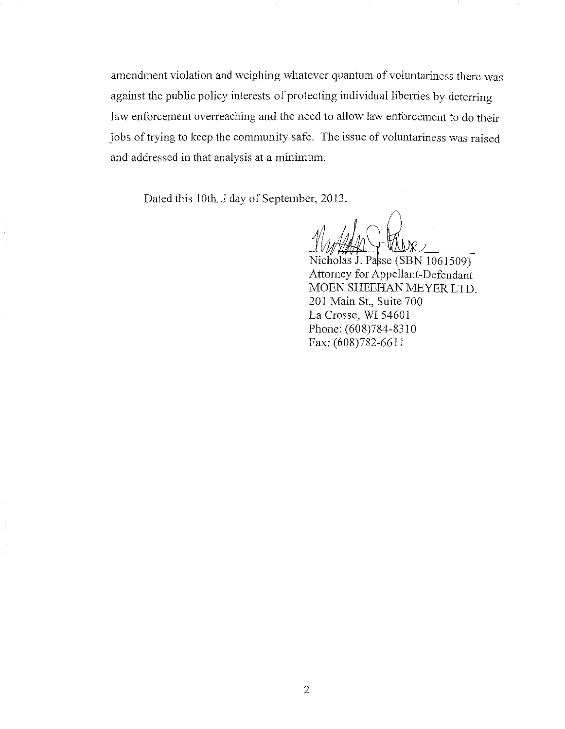amendment violation and weighing whatever quantum of voluntariness there was against the public policy interests of protecting individual liberties by deterring law enforcement overreaching and the need to allow law enforcement to do their jobs of trying to keep the community safe. The issue of voluntariness was raised and addressed in that analysis at a minimum.

Dated this 10th. J day of September, 2013.

Nicholas J. Passe (SBN 1061509) Attorney for Appellant-Defendant MOEN SHEEHAN MEYER LTD. 201 Main St., Suite 700 La Crosse, WI 54601 Phone: (608)784-8310 Fax: (608)782-6611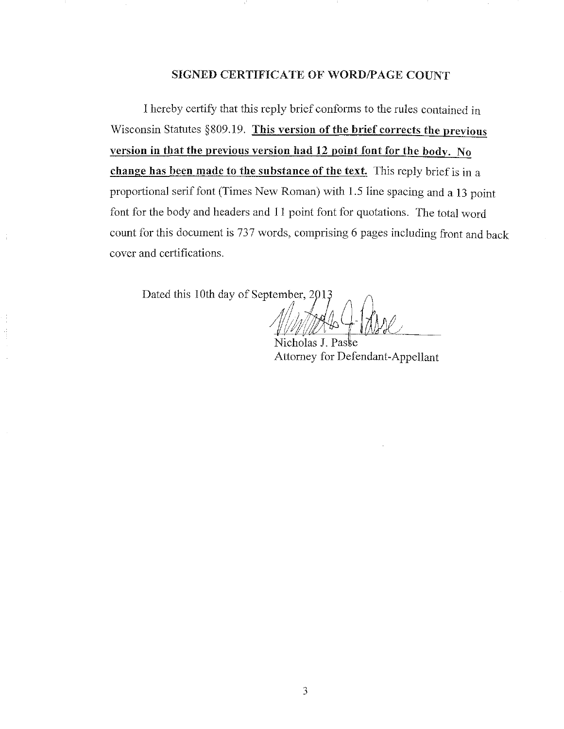### SIGNED CERTIFICATE OF WORD/PAGE COUNT

I hereby certify that this reply brief conforms to the rules contained in Wisconsin Statutes  $§809.19$ . This version of the brief corrects the previous version in that the previous version had 12 point font for the body. No change has been made to the substance of the text. This reply brief is in a proportional serif font (Times New Roman) with 1.5 line spacing and a 13 point font for the body and headers and 11 point font for quotations. The total word count for this document is 737 words, comprising 6 pages including front and back cover and certifications.

Dated this 10th day of September, 2013

Nicholas J. Paske Attorney for Defendant-Appellant